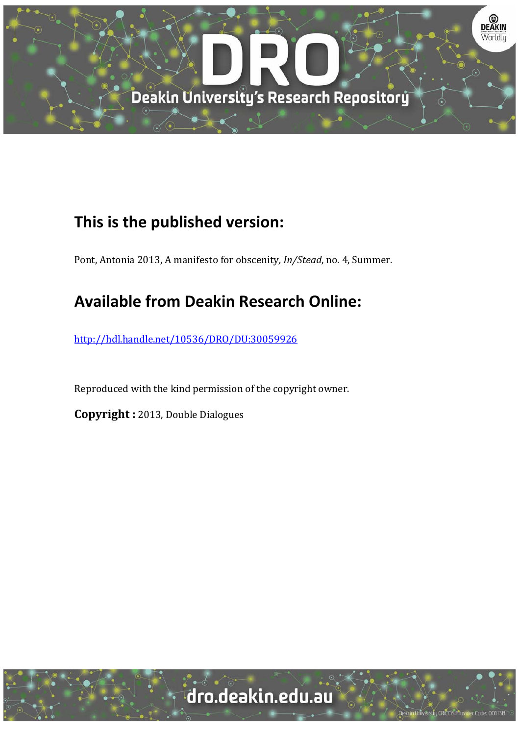

# **This is the published version:**

Pont, Antonia 2013, A manifesto for obscenity, *In/Stead*, no. 4, Summer.

# **Available from Deakin Research Online:**

http://hdl.handle.net/10536/DRO/DU:30059926

Reproduced with the kind permission of the copyright owner.

**Copyright** : 2013, Double Dialogues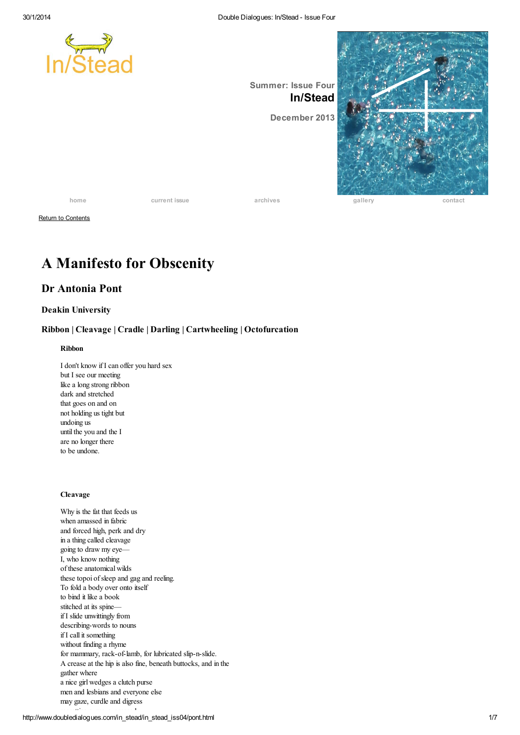

Return to [Contents](http://www.doubledialogues.com/in_stead/in_stead_iss04/contents_in_stead04.html)

## A Manifesto for Obscenity

## Dr Antonia Pont

#### Deakin University

### Ribbon | Cleavage | Cradle | Darling | Cartwheeling | Octofurcation

#### Ribbon

I don't know if I can offer you hard sex but I see our meeting like a long strong ribbon dark and stretched that goes on and on not holding us tight but undoing us until the you and the I are no longer there to be undone.

#### Cleavage

Why is the fat that feeds us when amassed in fabric and forced high, perk and dry in a thing called cleavage going to draw my eye— I, who know nothing of these anatomical wilds these topoi ofsleep and gag and reeling. To fold a body over onto itself to bind it like a book stitched at its spine if I slide unwittingly from describing-words to nouns if I call it something without finding a rhyme for mammary, rack-of-lamb, for lubricated slip-n-slide. A crease at the hip is also fine, beneath buttocks, and in the gather where a nice girl wedges a clutch purse men and lesbians and everyone else may gaze, curdle and digress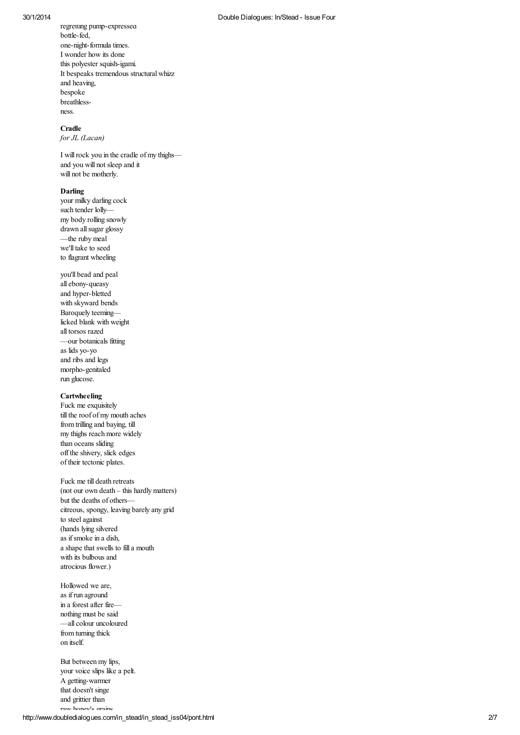#### 30/1/2014

regretting pump-expressed bottle-fed, one-night-fo rmula t ime s. I wonder how its done this polyester squish-igami. It bespeaks tremendous structural whizz a nd he a ving, bespoke breathless ness.

#### Cradle

*for JL (Laca n)*

I will rock you in the cradle of my thighs a nd yo u w ill no t s le e p a nd it will not be motherly.

#### Darling

your milky darling co c k such tender lolly my body rolling snowly d r a wn a ll s uga r glo s s y — the rub y me a l we'll take to seed to flagrant wheeling

you'll bead and peal all ebony-queasy a nd hyp e r - b le tt e d with skyward bends Baroquely teeming licked blank with weight a ll t o r s o s r a ze d — o ur b o t a nic a ls fitting a s lid s yo - yo a nd r ib s a nd le g s mo rp ho - ge nit a le d run glucose.

#### Cartwheeli n g

Fuck me exquisitely till the roof of my mouth aches from trilling and baying, till my thighs reach more widely than oceans sliding o ff the s hive ry, s lic k e d ge s of their tectonic plates.

Fuck me till death retreats (not our own death – this hardly matters) but the deaths of others citreous, spongy, leaving barely any grid to steel against ( ha nd s lying s ilve r e d a s if s mo k e in a d is h, a shape that swells to fill a mo uth with its bulbous and atrocious flower.)

Hollowed we are, as if run aground in a forest after fire nothing must be said — all c o lo ur unc o lo ur e d from turning thick o n it s e lf.

http://www.doubledialogues.com/in\_stead/in\_stead\_iss04/pont.ht But between my lips, your voice slips like a pelt. A getting-warmer that doesn't singe and grittier than raw honey's grains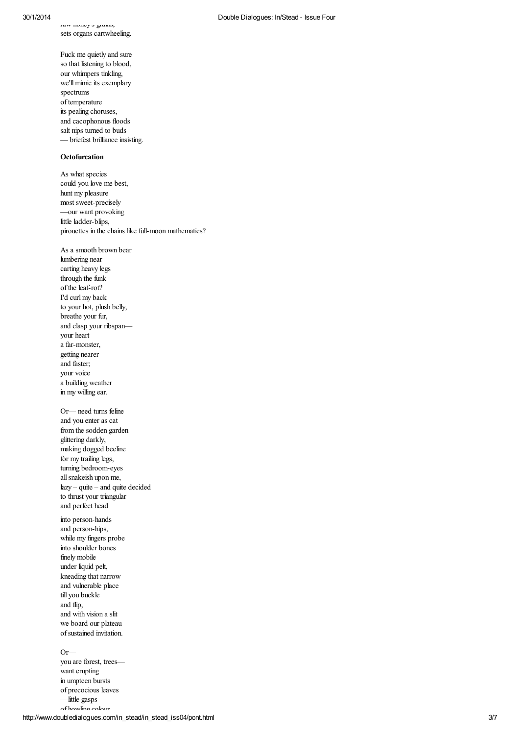iaw iriny o giailo, sets organs cartwhe e ling.

Fuck me quietly and sure so that listening to blood, our whimpers tinkling, we'll mimic its exemplary spectrums of temperature its pealing choruses, and cacophonous floods salt nips turned to buds — briefest brilliance insist ing.

#### **Octofurcation**

As what species could you love me best, hunt my pleasure most sweet-precisely —our want provoking little ladder-blips, pirouettes in the chains like full-moon mathematics?

As a smooth brown bear lumbering near carting heavy legs thr o ugh the funk of the leaf-rot? I'd curl my back to your hot, plush belly, breathe your fur, and clasp your ribspan your heart a far-monster, getting nearer and faster; your voice a building weather in my willing ear. Or— need turns feline and you enter as cat from the sodden garden glittering darkly, making dogged beeline for my trailing legs, turning bedroom-eyes all snakeish upon me, lazy – quite – and quite de c id e d to thrust your triangular a nd p e r fe c t he a d into person-hands and person-hips,

while my fingers probe into shoulder bones fine ly mo b ile under liquid pelt, kneading that narr o w and vulnerable place t ill yo u b uc k le a nd flip, and with vision a slit we board our plateau of sustained invitation.

http://www.doubledialogues.com/in\_stead/in\_stead\_iss04/pont.ht Or—you are forest, trees want erupting in umpteen bursts of precocious leaves —little gasps of howling colour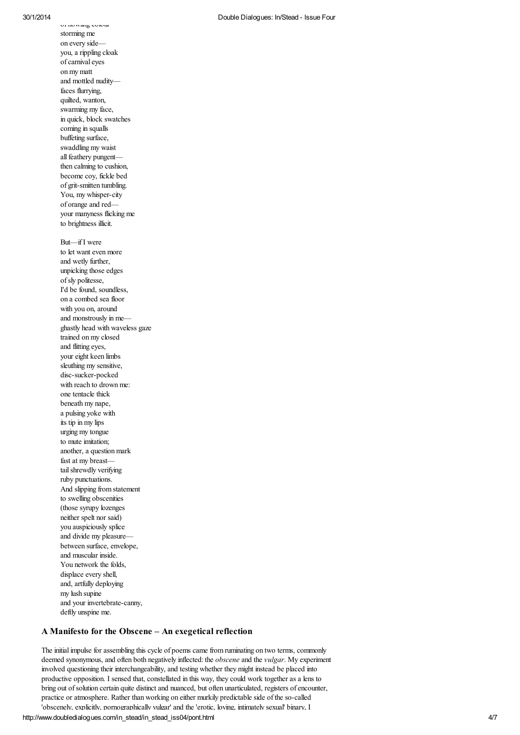o f ho w ling c o lo ur

s t o rming me o n e ve ry s id e yo u, a r ip p ling c lo a k of carnival eyes o n my ma tt a nd mo tt le d nud ity faces flurrying, quilted, wanton, swarming my fac e, in quick, block swatches coming in squalls buffeting surface, swaddling my wa is t all feathery pungent then calming to cushion, become coy, fickle bed of grit-smitten tumbling. You, my whisper-city of orange and red your manyness flicking me to brightness illicit. But—if I were to let want even more and wetly further, unpicking those edges ofsly politesse, I'd be found, soundless, on a combed sea floor with you on, around and monstrously in me ghastly head with waveless ga ze trained on my closed a nd flitt ing e ye s, your eight keen limb s sleuthing my sensitive, disc-sucker-pocked with reach to drown me: one tentacle thick beneath my nape, a pulsing yoke with its tip in my lips urging my tongue to mute imitation; another, a question mark fast at my breast tail shrewdly verifying ruby punctuations. And slipping from stateme nt to swelling obscenities ( tho s e s yrup y lo ze nge s neither spelt nor said) you auspiciously splice and divide my pleasure between surface, envelope, and muscular inside. You network the folds, displace every shell, and, artfully deploying my lush supine and your invertebrate-canny, deftly unspine me.

#### A Manifesto for the Obscene - An exegetical reflection

The initial impulse for assembling this cycle of poems came from ruminating on two terms, commonly deemed synonymous, and often both negatively inflected: the *obscene* and the *vulgar*. My experiment involved questioning their interchangeability, and testing whether they might instead be placed into productive opposition. I sensed that, constellated in this way, they could work together as a lens to bring out of solution certain quite distinct and nuanced, but often unarticulated, registers of encounter, practice or atmosphere. Rather than working on either murkily predictable side of the so-called 'obscenely, explicitly, pornographically vulgar' and the 'erotic, loving, intimately sexual' binary, I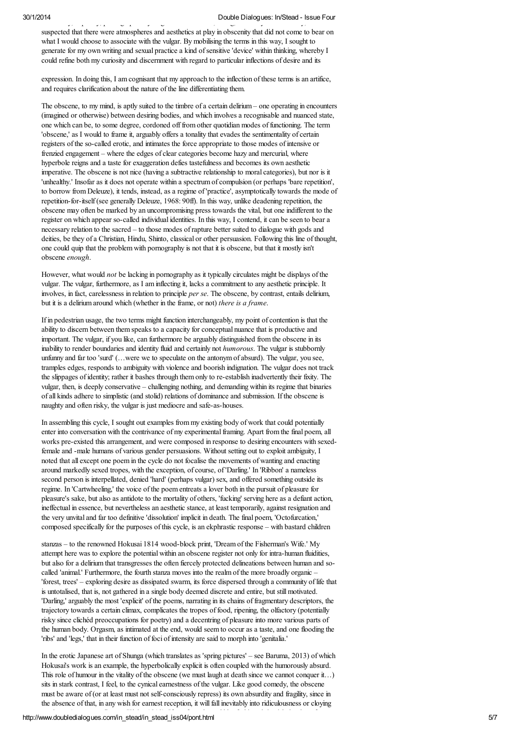7 'obscenely, explicitly, pornographically vulgar' and the 'erotic, loving, intimately sexual' binary, I suspected that there were atmospheres and aesthetics at play in obscenity that did not come to bear on what I would choose to associate with the vulgar. By mobilising the terms in this way, I sought to generate for my own writing and sexual practice a kind ofsensitive 'device' within thinking, whereby I could refine both my curiosity and discernment with regard to particular inflections of desire and its expression. In doing this, I am cognisant that my approach to the inflection of these terms is an artifice, and requires clarification about the nature of the line differentiating them. The obscene, to my mind, is aptly suited to the timbre of a certain delirium – one operating in encounters (imagined or otherwise) between desiring bodies, and which involves a recognisable and nuanced state, one which can be, to some degree, cordoned off from other quotidian modes of functioning. The term 'obscene,' as I would to frame it, arguably offers a tonality that evades the sentimentality of certain registers of the so-called erotic, and intimates the force appropriate to those modes of intensive or frenzied engagement – where the edges of clear categories become hazy and mercurial, where hyperbole reigns and a taste for exaggeration defies tastefulness and becomes its own aesthetic imperative. The obscene is not nice (having a subtractive relationship to moral categories), but nor is it 'unhealthy.' Insofar as it does not operate within a spectrum of compulsion (or perhaps 'bare repetition', to borrow from Deleuze), it tends, instead, as a regime of 'practice', asymptotically towards the mode of repetition-for-itself (see generally Deleuze, 1968: 90ff). In this way, unlike deadening repetition, the obscene may often be marked by an uncompromising press towards the vital, but one indifferent to the register on which appear so-called individual identities. In this way, I contend, it can be seen to bear a necessary relation to the sacred – to those modes of rapture better suited to dialogue with gods and deities, be they of a Christian, Hindu, Shinto, classical or other persuasion. Following this line of thought, one could quip that the problem with pornography is not that it is obscene, but that it mostly isn't obscene *enough*. However, what would *not* be lacking in pornography as it typically circulates might be displays of the vulgar. The vulgar, furthermore, as I am inflecting it, lacks a commitment to any aesthetic principle. It involves, in fact, carelessness in relation to principle *per se*. The obscene, by contrast, entails delirium, but it is a delirium around which (whether in the frame, or not) *there is a frame*. If in pedestrian usage, the two terms might function interchangeably, my point of contention is that the ability to discern between them speaks to a capacity for conceptual nuance that is productive and important. The vulgar, if you like, can furthermore be arguably distinguished from the obscene in its inability to render boundaries and identity fluid and certainly not *humorous*. The vulgar is stubbornly unfunny and far too 'surd' (…were we to speculate on the antonym of absurd). The vulgar, you see, tramples edges, responds to ambiguity with violence and boorish indignation. The vulgar does not track the slippages of identity; rather it bashes through them only to re-establish inadvertently their fixity. The vulgar, then, is deeply conservative – challenging nothing, and demanding within its regime that binaries of all kinds adhere to simplistic (and stolid) relations of dominance and submission. If the obscene is naughty and often risky, the vulgar is just mediocre and safe-as-houses. In assembling this cycle, I sought out examples from my existing body of work that could potentially enter into conversation with the contrivance of my experimentalframing. Apart from the final poem, all works pre-existed this arrangement, and were composed in response to desiring encounters with sexed- female and -male humans of various gender persuasions. Without setting out to exploit ambiguity, I noted that all except one poem in the cycle do not focalise the movements of wanting and enacting around markedly sexed tropes, with the exception, of course, of 'Darling.' In 'Ribbon' a nameless second person is interpellated, denied 'hard' (perhaps vulgar) sex, and offered something outside its regime. In 'Cartwheeling,' the voice of the poem entreats a lover both in the pursuit of pleasure for pleasure's sake, but also as antidote to the mortality of others, 'fucking' serving here as a defiant action, ineffectual in essence, but nevertheless an aesthetic stance, at least temporarily, against resignation and the very unvital and far too definitive 'dissolution' implicit in death. The final poem, 'Octofurcation,' composed specifically for the purposes of this cycle, is an ekphrastic response – with bastard children stanzas – to the renowned Hokusai 1814 wood-block print, 'Dream of the Fisherman's Wife.' My attempt here was to explore the potential within an obscene register not only for intra-human fluidities, but also for a delirium that transgresses the often fiercely protected delineations between human and so- called 'animal.' Furthermore, the fourth stanza moves into the realm of the more broadly organic – 'forest, trees' – exploring desire as dissipated swarm, its force dispersed through a community of life that is untotalised, that is, not gathered in a single body deemed discrete and entire, but still motivated. 'Darling,' arguably the most 'explicit' of the poems, narrating in its chains of fragmentary descriptors, the trajectory towards a certain climax, complicates the tropes of food, ripening, the olfactory (potentially risky since clichéd preoccupations for poetry) and a decentring of pleasure into more various parts of the human body. Orgasm, as intimated at the end, would seem to occur as a taste, and one flooding the 'ribs' and 'legs,' that in their function of foci of intensity are said to morph into 'genitalia.' In the erotic Japanese art of Shunga (which translates as 'spring pictures' – see Baruma, 2013) of which Hokusai's work is an example, the hyperbolically explicit is often coupled with the humorously absurd. This role of humour in the vitality of the obscene (we must laugh at death since we cannot conquer it…) sits in stark contrast, I feel, to the cynical earnestness of the vulgar. Like good comedy, the obscene must be aware of (or at least must not self-consciously repress) its own absurdity and fragility, since in the absence of that, in any wish for earnest reception, it willfall inevitably into ridiculousness or cloying sentiment (see, generally, von Kleist, 1810). If any formula could be fashioned, it might be that of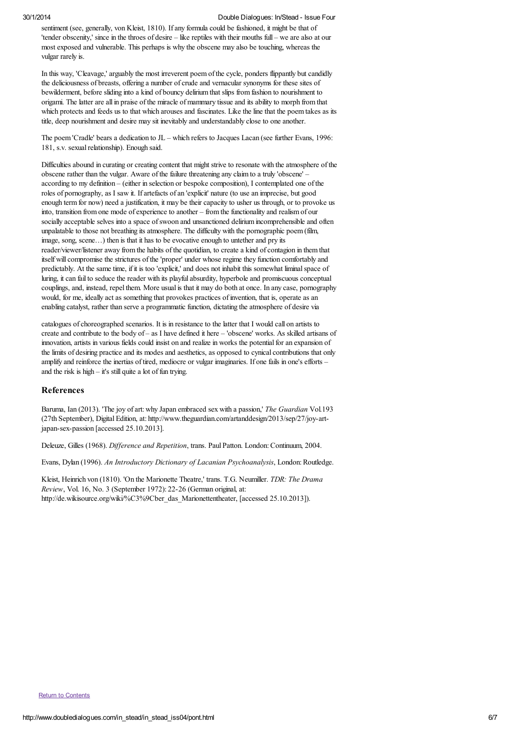sentiment (see, generally, von Kleist, 1810). If any formula could be fashioned, it might be that of 'tender obscenity,' since in the throes of desire – like reptiles with their mouths full – we are also at our most exposed and vulnerable. This perhaps is why the obscene may also be touching, whereas the vulgar rarely is.

In this way, 'Cleavage,' arguably the most irreverent poem of the cycle, ponders flippantly but candidly the deliciousness of breasts, offering a number of crude and vernacular synonyms for these sites of bewilderment, before sliding into a kind of bouncy delirium that slips from fashion to nourishment to origami. The latter are all in praise of the miracle of mammary tissue and its ability to morph from that which protects and feeds us to that which arouses and fascinates. Like the line that the poem takes as its title, deep nourishment and desire may sit inevitably and understandably close to one another.

The poem 'Cradle' bears a dedication to JL – which refers to Jacques Lacan (see further Evans, 1996: 181, s.v. sexual relationship). Enough said.

Difficulties abound in curating or creating content that might strive to resonate with the atmosphere of the obscene rather than the vulgar. Aware of the failure threatening any claim to a truly 'obscene' – according to my definition – (either in selection or bespoke composition), I contemplated one of the roles of pornography, as I saw it. If artefacts of an 'explicit' nature (to use an imprecise, but good enough term for now) need a justification, it may be their capacity to usher us through, or to provoke us into, transition from one mode of experience to another – from the functionality and realism of our socially acceptable selves into a space of swoon and unsanctioned delirium incomprehensible and often unpalatable to those not breathing its atmosphere. The difficulty with the pornographic poem (film, image, song, scene…) then is that it has to be evocative enough to untether and pry its reader/viewer/listener away from the habits of the quotidian, to create a kind of contagion in them that itself will compromise the strictures of the 'proper' under whose regime they function comfortably and predictably. At the same time, if it is too 'explicit,' and does not inhabit this somewhat liminal space of luring, it can fail to seduce the reader with its playful absurdity, hyperbole and promiscuous conceptual couplings, and, instead, repel them. More usual is that it may do both at once. In any case, pornography would, for me, ideally act as something that provokes practices of invention, that is, operate as an enabling catalyst, rather than serve a programmatic function, dictating the atmosphere of desire via

catalogues of choreographed scenarios. It is in resistance to the latter that I would call on artists to create and contribute to the body of – as I have defined it here – 'obscene' works. As skilled artisans of innovation, artists in various fields could insist on and realize in works the potentialfor an expansion of the limits of desiring practice and its modes and aesthetics, as opposed to cynical contributions that only amplify and reinforce the inertias of tired, mediocre or vulgar imaginaries. If one fails in one's efforts – and the risk is high – it's still quite a lot of fun trying.

#### References

Baruma, Ian (2013). 'The joy of art: why Japan embraced sex with a passion,' *The Guardian* Vol.193 (27th September), Digital Edition, at: http://www.theguardian.com/artanddesign/2013/sep/27/joy-artjapan-sex-passion [accessed 25.10.2013].

Deleuze, Gilles (1968). *Dif erence and Repetition*, trans. Paul Patton. London:Continuum, 2004.

Evans, Dylan (1996). *An Introductory Dictionary of Lacanian Psychoanalysis*, London:Routledge.

Kleist, Heinrich von (1810). 'On the Marionette Theatre,' trans. T.G. Neumiller. *TDR: The Drama Review*, Vol. 16, No. 3 (September 1972): 22-26 (German original, at: http://de.wikisource.org/wiki/%C3%9Cber\_das\_Marionettentheater, [accessed 25.10.2013]).